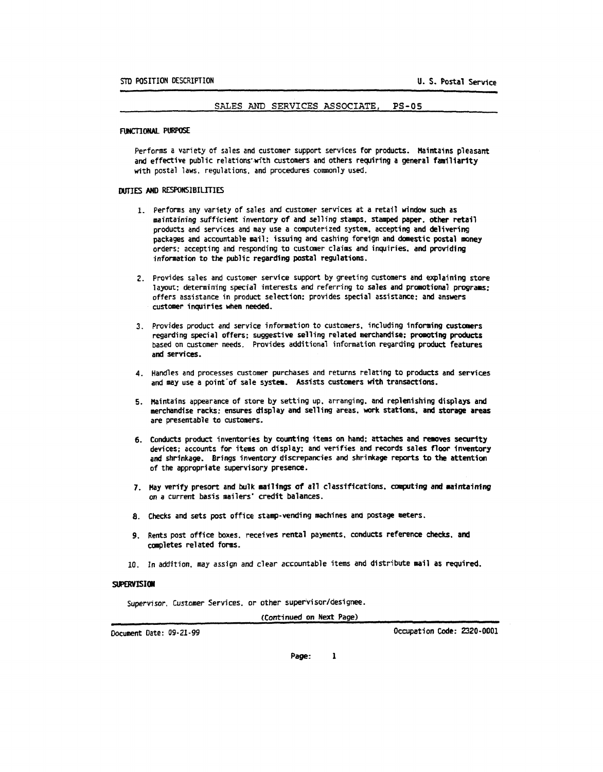#### SALES AND SERVICES ASSOCIATE,  $PS-05$

#### FUNCTIONAL PURPOSE

Performs a variety of sales and customer support services for products. Maintains pleasant and effective public relations with customers and others requiring a general familiarity with postal laws, regulations, and procedures commonly used.

#### DUTIES AND RESPONSIBILITIES

- 1. Performs any variety of sales and customer services at a retail window such as maintaining sufficient inventory of and selling stamps, stamped paper, other retail products and services and may use a computerized system, accepting and delivering packages and accountable mail; issuing and cashing foreign and domestic postal money orders: accepting and responding to customer claims and inquiries, and providing information to the public regarding postal regulations.
- 2. Provides sales and customer service support by greeting customers and explaining store layout; determining special interests and referring to sales and promotional programs; offers assistance in product selection; provides special assistance; and answers customer inquiries when needed.
- 3. Provides product and service information to customers, including informing customers regarding special offers; suggestive selling related merchandise; promoting products based on customer needs. Provides additional information regarding product features and services.
- 4. Handles and processes customer purchases and returns relating to products and services and may use a point of sale system. Assists customers with transactions.
- 5. Maintains appearance of store by setting up, arranging, and replenishing displays and merchandise racks; ensures display and selling areas. work stations, and storage areas are presentable to customers.
- 6. Conducts product inventories by counting items on hand: attaches and removes security devices; accounts for items on display; and verifies and records sales floor inventory and shrinkage. Brings inventory discrepancies and shrinkage reports to the attention of the appropriate supervisory presence.
- 7. Hay verify presort and bulk mailings of all classifications, computing and maintaining on a current basis mailers' credit balances.
- 8. Checks and sets post office stamp-vending machines and postage meters.
- 9. Rents post office boxes, receives rental payments, conducts reference checks, and completes related forms.
- 10. In addition, may assign and clear accountable items and distribute mail as required.

#### **SUPERVISION**

Supervisor, Customer Services, or other supervisor/designee.

(Continued on Next Page)

Document Date: 09-21-99

Occupation Code: 2320-0001

Page:  $\mathbf{I}$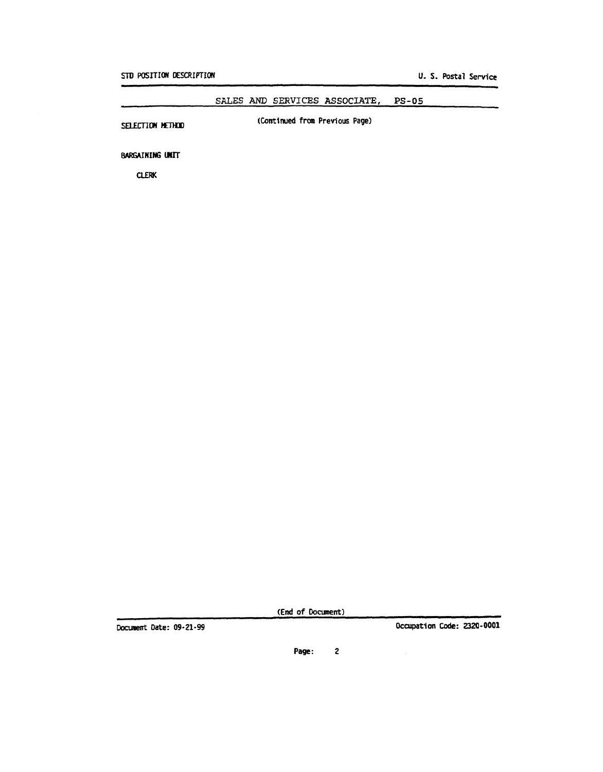#### SALES AND SERVICES ASSOCIATE,  $PS-05$

SELECTION METHOD

(Continued from Previous Page)

**BARGAINING UNIT** 

**CLERK** 

(End of Document)

Document Date: 09-21-99

Occupation Code: 2320-0001

 $\overline{c}$ Page: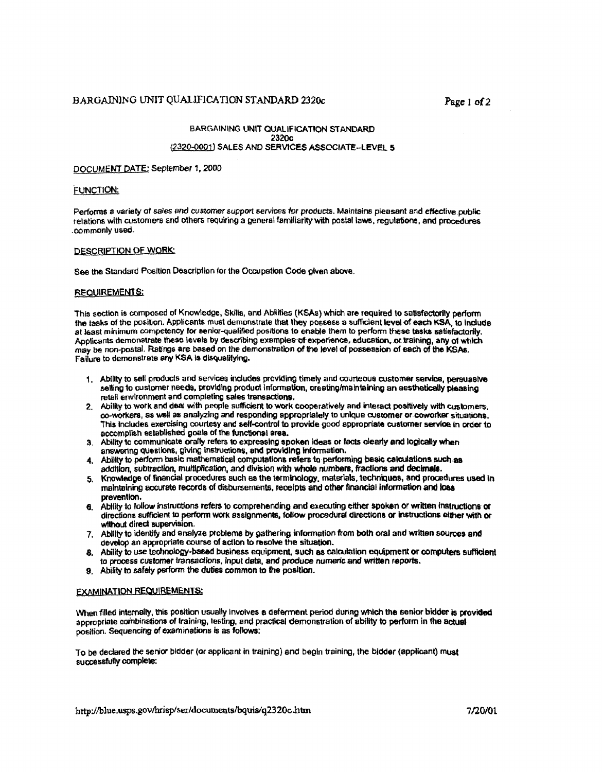### BARGAINING UNIT QUALIFICATION STANDARD 2320c

#### BARGAINING UNIT QUALIFICATION STANDARD 2320c (2320-0001) SALES AND SERVICES ASSOCIATE-LEVEL 5

# DOCUMENT DATE: September 1, 2000

#### FUNCTION:

Performs a variety of sales and customer support services for products. Maintains pleasant and effective public relations with customers and others requiring a general familiarity with postal laws, regulations, and procedures commonly used.

#### **DESCRIPTION OF WORK:**

See the Standard Position Description for the Occupation Code given above.

#### **REQUIREMENTS:**

This section is composed of Knowledge, Skills, and Abilities (KSAs) which are required to satisfactorily perform the tasks of the position. Applicants must demonstrate that they possess a sufficient level of each KSA, to include at least minimum competency for senior-qualified positions to enable them to perform these tasks satisfactorily. Applicants demonstrate these levels by describing examples of experience, education, or training, any of which may be non-postal. Ratings are based on the demonstration of the level of possession of each of the KSAs. Failure to demonstrate any KSA is disqualifying.

- 1. Ability to sell products and services includes providing timely and courteous customer service, persuasive selling to customer needs, providing product information, creating/maintaining an aesthetically pleasing retail environment and completing sales transactions.
- 2. Ability to work and deal with people sufficient to work cooperatively and interact positively with customers, co-workers, as well as analyzing and responding appropriately to unique customer or coworker situations. This includes exercising courtesy and self-control to provide good appropriate customer service in order to accomplish established goals of the functional area.
- 3. Ability to communicate orally refers to expressing spoken ideas or facts clearly and logically when answering questions, giving instructions, and providing information.
- 4. Ability to perform basic mathematical computations refers to performing basic calculations such as addition, subtraction, multiplication, and division with whole numbers, fractions and decimals.
- 5. Knowledge of financial procedures such as the terminology, materials, techniques, and procedures used in maintaining accurate records of dispursements, receipts and other financial information and loss prevention.
- 6. Ability to follow instructions refers to comprehending and executing either spoken or written instructions or directions sufficient to perform work assignments, follow procedural directions or instructions either with or without direct supervision.
- 7. Ability to identify and analyze problems by gathering information from both oral and written sources and develop an appropriate course of action to resolve the situation.
- 8. Ability to use technology-based business equipment, such as calculation equipment or computers sufficient to process customer transactions, input data, and produce numeric and written reports.
- 9. Ability to safely perform the duties common to the position.

#### **EXAMINATION REQUIREMENTS:**

When filled internally, this position usually involves a deferment period during which the senior bidder is provided appropriate combinations of training, testing, and practical demonstration of ability to perform in the actual position. Sequencing of examinations is as follows:

To be declared the senior bidder (or applicant in training) and begin training, the bidder (applicant) must successfully complete: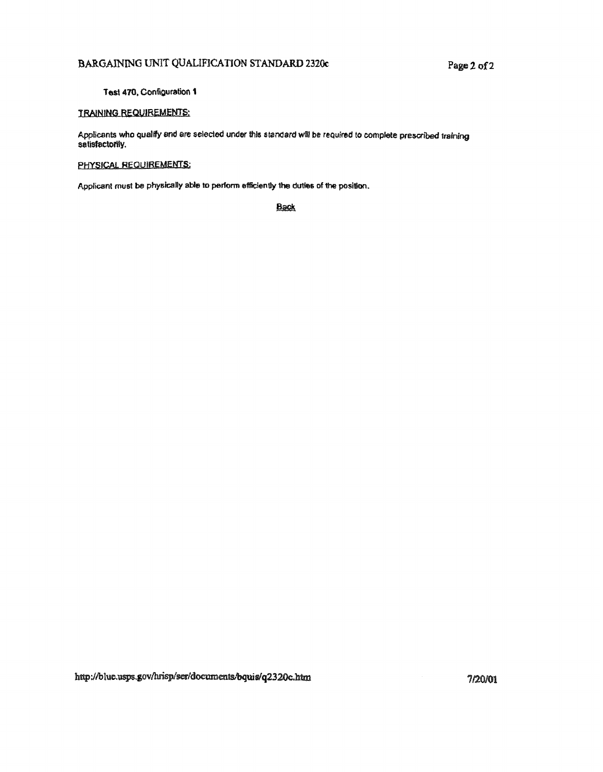# BARGAINING UNIT QUALIFICATION STANDARD 2320c

### Test 470, Configuration 1

# **TRAINING REQUIREMENTS:**

Applicants who qualify and are selected under this standard will be required to complete prescribed training satisfactorily.

## PHYSICAL REQUIREMENTS:

Applicant must be physically able to perform efficiently the duties of the position.

**Back**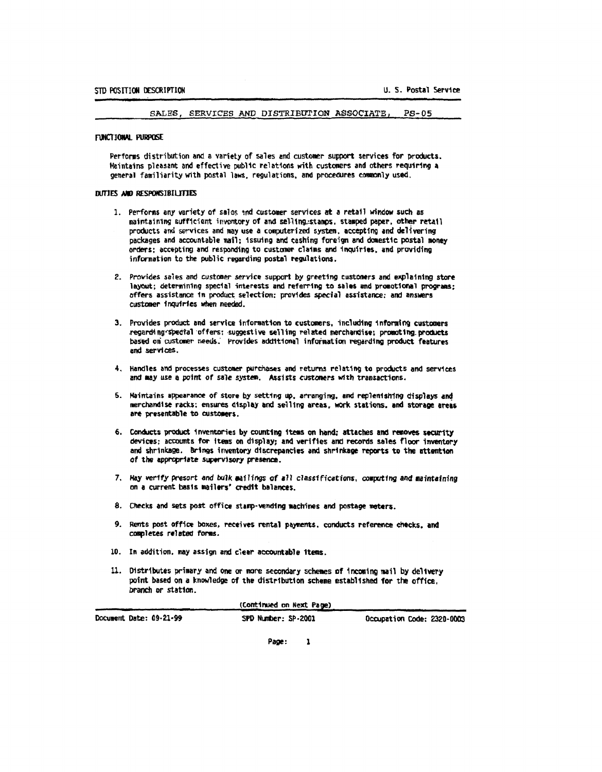SALES, SERVICES AND DISTRIBUTION ASSOCIATE.  $PS-05$ 

#### **FUNCTIONAL PURPOSE**

Performs distribution and a variety of sales and customer support services for products. Maintains pleasant and effective public relations with customers and others requiring a general familiarity with postal laws, regulations, and procedures commonly used.

#### DUTIES AND RESPONSIBILITIES

- 1. Performs any variety of sales and customer services at a retail window such as maintaining sufficient inventory of and selling stamps, stamped paper, other retail products and services and may use a computerized system, accepting and delivering packages and accountable mail; issuing and cashing foreign and domestic postal money orders; accepting and responding to customer claims and inquiries, and providing information to the public regarding postal regulations.
- 2. Provides sales and customer service support by greeting customers and explaining store layout; determining special interests and referring to sales and promotional programs; offers assistance in product selection; provides special assistance; and answers customer inquiries when needed.
- 3. Provides product and service information to customers, including informing customers regarding spectal offers: suggestive selling related merchandise; promoting products based on customer needs. Provides additional information regarding product features and services.
- 4. Handles and processes customer purchases and returns relating to products and services and may use a point of sale system. Assists customers with transactions.
- 5. Maintains appearance of store by setting up, arranging, and replenishing displays and merchandise racks: ensures display and selling areas, work stations, and storage areas are presentable to customers.
- 6. Conducts product inventories by counting items on hand; attaches and removes security devices; accounts for items on display; and verifies and records sales floor inventory and shrinkage. Brings inventory discrepancies and shrinkage reports to the attention of the appropriate supervisory presence.
- 7. Hay verify presort and bulk mailings of all classifications, computing and maintaining on a current basis mailers' credit balances.
- 8. Checks and sets post office stamp-vending machines and postage meters.
- 9. Rents post office boxes, receives rental payments, conducts reference checks, and completes related forms.
- 10. In addition, may assign and clear accountable items.
- 11. Distributes primary and one or more secondary schemes of incoming mail by delivery point based on a knowledge of the distribution scheme established for the office. branch or station.

| (Continued on Next Page) |                     |                            |  |  |  |
|--------------------------|---------------------|----------------------------|--|--|--|
| Document Date: 09-21-99  | SPD Number: SP-2001 | Occupation Code: 2320-0003 |  |  |  |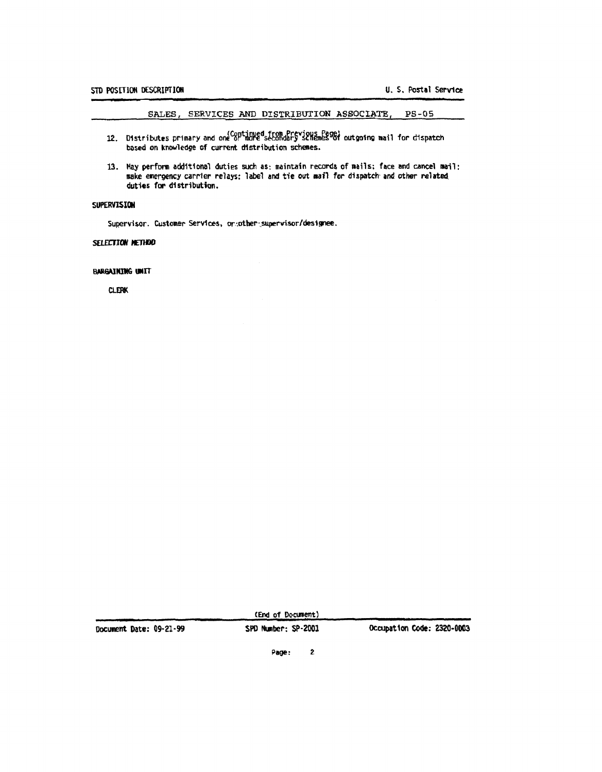### SALES, SERVICES AND DISTRIBUTION ASSOCIATE, PS-05

- 12. Distributes primary and one crimined from Previous Page)<br>12. Distributes primary and one crimine secondary schemes of outgoing mail for dispatch based on knowledge of current distribution schemes.
- 13. May perform additional duties such as: maintain records of mails; face and cancel mail; make emergency carrier relays; label and tie out mail for dispatch and other related duties for distribution.

### SUPERVISION

Supervisor. Customer Services, on:other: supervisor/designee.

### SELECTION NETHOD

#### **BARGAINING UNIT**

**CLERK** 

| Document Date: 09-21-99 | SPD Number: SP-2001 | Occupation Code: 2320-0003 |
|-------------------------|---------------------|----------------------------|
|                         | Page:               |                            |

(End of Document)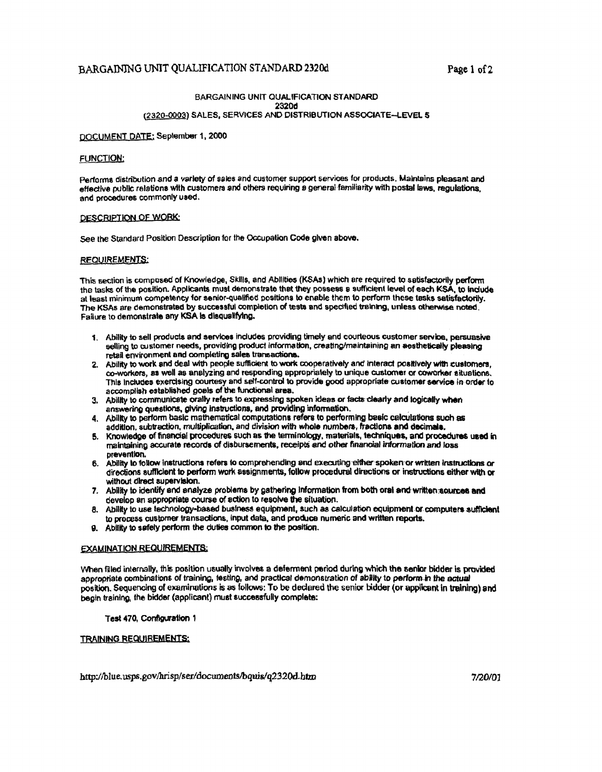## BARGAINING UNIT QUALIFICATION STANDARD 2320d

### BARGAINING UNIT QUALIFICATION STANDARD 2320d (2320-0003) SALES, SERVICES AND DISTRIBUTION ASSOCIATE-LEVEL 5

#### DOCUMENT DATE: September 1, 2000

#### **FUNCTION:**

Performs distribution and a variety of sales and customer support services for products. Maintains pleasant and effective public relations with customers and others requiring a general familiarity with postal laws, requiations. and procedures commonly used.

#### DESCRIPTION OF WORK:

See the Standard Position Description for the Occupation Code given above.

#### **REQUIREMENTS:**

This section is composed of Knowledge, Skills, and Abilities (KSAs) which are required to satisfactorily perform the tasks of the position. Applicants must demonstrate that they possess a sufficient level of each KSA, to include at least minimum competency for senior-qualified positions to enable them to perform these tasks satisfactorily. The KSAs are demonstrated by successful completion of tests and specified training, unless otherwise noted. Failure to demonstrate any KSA is disqualifying.

- 1. Ability to sell products and services includes providing timely and courteous customer service, persuasive selling to customer needs, providing product information, creating/maintaining an aesthetically pleasing retail environment and completing sales transactions.
- 2. Ability to work and deal with people sufficient to work cooperatively and interact positively with customers, co-workers, as well as analyzing and responding appropriately to unique customer or coworker situations. This includes exercising courtesy and self-control to provide good appropriate customer service in order to accomplish established goals of the functional area.
- 3. Ability to communicate orally refers to expressing spoken ideas or facts clearly and logically when answering questions, giving instructions, and providing information.
- 4. Ability to perform basic mathematical computations refers to performing basic calculations such as addition, subtraction, multiplication, and division with whole numbers, fractions and decimals,
- 5. Knowledge of financial procedures such as the terminology, materials, techniques, and procedures used in maintaining accurate records of disbursements, receipts and other financial information and loss prevention.
- 6. Ability to follow instructions refers to comprehending and executing either spoken or written instructions or directions sufficient to perform work assignments, follow procedural directions or instructions either with or without direct supervision.
- 7. Ability to identify and analyze problems by gathering Information from both oral and written sources and develop an appropriate course of action to resolve the situation.
- 8. Ability to use technology-based business equipment, such as calculation equipment or computers sufficient to process customer transactions, input data, and produce numeric and written reports.
- 9. Ability to safely perform the duties common to the position.

#### **EXAMINATION REQUIREMENTS:**

When filled internally, this position usually involves a deferment period during which the senior bidder is provided appropriate combinations of training, testing, and practical demonstration of ability to perform in the actual position. Sequencing of examinations is as follows: To be declared the senior bidder (or applicant in training) and begin training, the bidder (applicant) must successfully complete:

#### Test 470, Configuration 1

### TRAINING REQUIREMENTS:

http://blue.usps.gov/hrisp/ser/documents/bquis/q2320d.htm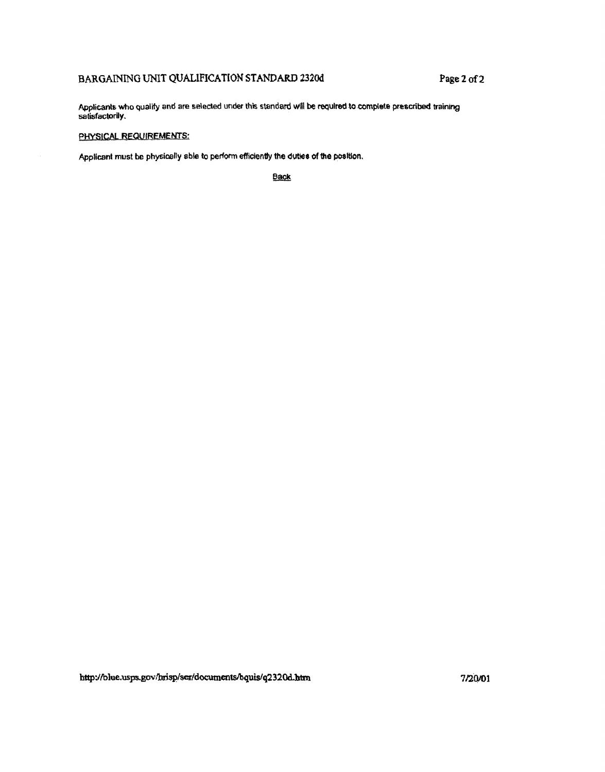# **BARGAINING UNIT QUALIFICATION STANDARD 2320d <b>Page 2 of 2**

**Applicants who qualify and are sdecled** under **this standard** will **k mt~ulted 40tomple,th! pesuibed training satisfactorily.** 

### **PHYSICAL REQUIREMENTS:**

**Applicant must be physirsliy sble to perform efficientty the dwr of the pcrs&on,** 

**Back**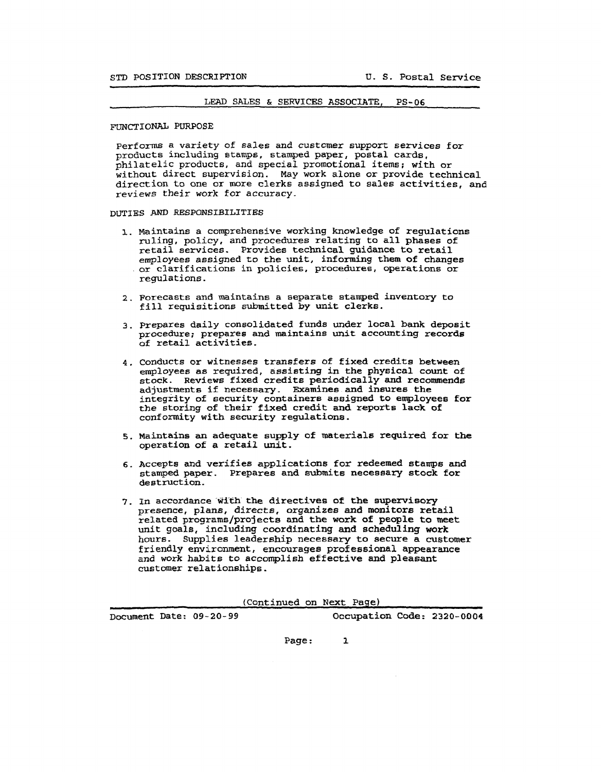#### LEAI) **SALES** & **SERVICES ASSOCIATE, PS-06**

#### FUNCTIONAL PURPOSE

performs a variety of sales and customer support services for products including stamps, stamped paper, postal cards, philatelic products, and special promotional items; with or without direct supervision. May work alone or provide technical direction to one or more clerks assigned to sales activities, **and**  reviews their work for accuracy.

### **DUTIES AND RESPONSIBILITIES**

- 1. Maintains a comprehensive working knowledge of regulations ruling, policy, and procedures relating to all phases of retail services. Provides technical guidance to retail employees assigned to the unit, informing them of changes or clarifications in policies, procedures, operations or regulations.
- **2.** Forecasts and maintains a separate stamped inventory to fill requisitions submitted by unit clerks.
- **3.** prepares daily consolidated funds under local bank deposit procedure; prepares and maintains unit accounting records of retail activities.
- **4.** Conducts or witnesses transfers of fixed credits between employees as required, assisting in the physical count of stock. Reviews fixed credits periodically and recommends adjustments if necessary. Examines and insures the integrity of security containers assigned to employees for the storing of their fixed credit and reports lack of conformity with security regulations,
- 5. Maintains an adequate supply of materials required for the operation of a retail unit.
- 6. Accepts and verifies applications for redeemed stamps and stamped paper. Prepares and **submits** necessary stock for destruction.
- 7, In accordance **gith** the directives of the supervisory presence, plans, directs, organizes and monitors retail related programs/pxojects and the work of people to **meet**  unit goals, including coordinating and scheduling work hours. Supplies leadership necessary to secure a customer friendly environment, encourages professional appearance and work habits to accomplish effective and pleasant customer relationships.

(Continued on Next Page)

~ocument Date: **09-20-** 99 Occupation Code: **2320-0004** 

**Page** : **1**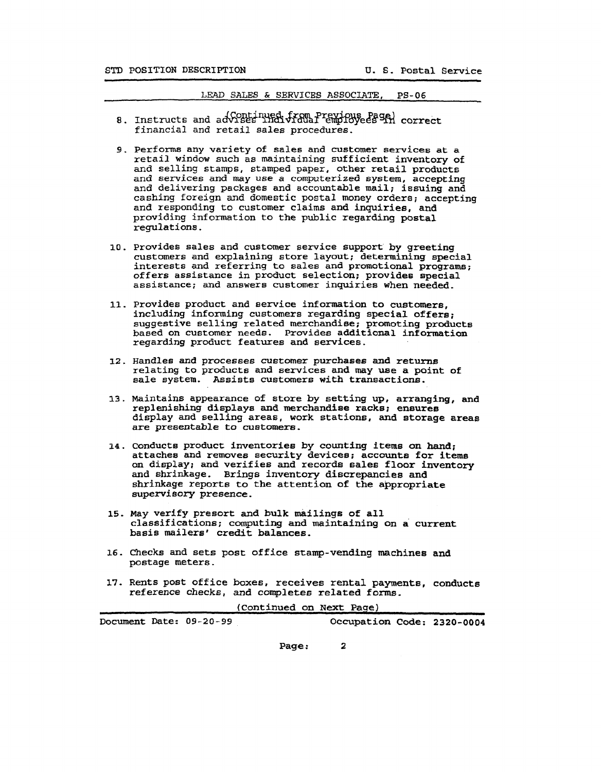#### LW **SALES** & **SERVICES ASSOCIATE, PS-06**

- Instructs and advises individual employees in correct financial and retail sales procedures.
- 9. Performs any variety of sales and customer services at a retail window such as maintaining sufficient inventory of and selling stamps, stamped paper, other retail products and services and may use a computerized system, accepting and delivering packages and accountable mail; issuing and cashing foreign and domestic postal money orders; accepting and responding to customer claims and inquiries, and providing information to the public regarding postal regulations.
- **10.** provides sales and customer service support by greeting customers and explaining store layout; determining special interests and referring to sales and promotional program; offers assistance in product selection; provides special assistance; and answers customer inquiries when needed,
- **11.** provides product and service inforination to customers, including informing customers regarding special offers; suggestive selling related merchandise; promoting products based on customer needs. Provides adaitional information regarding product features and services.
- **12.** Handles and processes customer purchases and returns relating to products and services and may use a point of sale system. Assists customers with transactions.
- **13.** mintains appearance of store by setting up, arranging, and replenishing displays and merchandise racks; ensures display and selling areas, work stations, and storage areas are presentable to **customers,**
- **14.** Conducts product inventories by counting items on hand; attaches and removes security devices; accounts for items on display; and verifies and records sales floor inventory and shrinkage. Brings inventory discrepancies and shrinkage reports to the attention of the appropriate supervisory presence.
- **15. my** verify presort and bulk mailings of all classifications; computing and maintaining on a current basis mailers' credit balances.
- 16. **checks** and sets post office stamp-vendfng machines and postage meters.
- **17-** Rents post office boxes, receives rental payments, conducts reference checks, and completes **related** forms.

(Continued on **Next** Page)

| Document Date: 09-20-99 | Occupation Code: 2320-0004 |  |
|-------------------------|----------------------------|--|

**Page** : **2**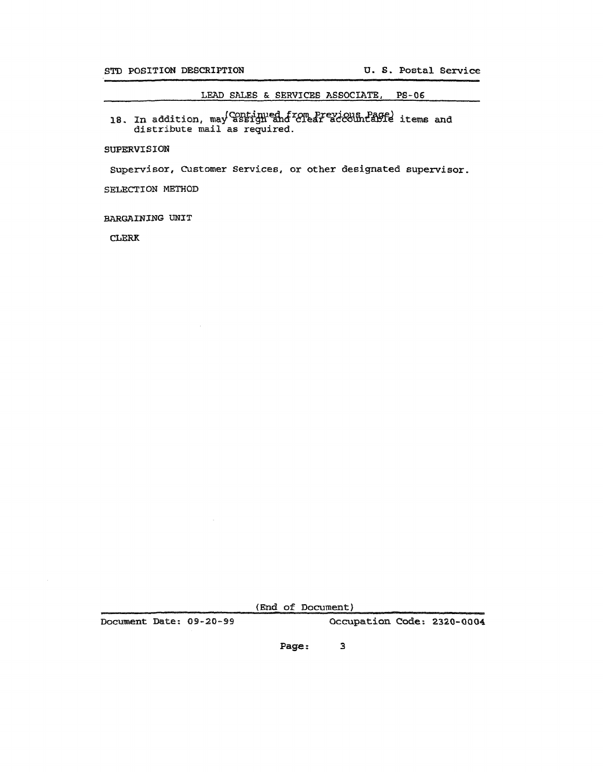**LEAD SALES** & **SERVICES ASSOCIATE, P6-06** 

18. In addition, may continued from Previous Page) items and **distribute mail as** required.

### **SUPERVISION**

**supervisor, Customer Services, or** other **designated supervisor.** 

SELECTION METHOD

**BARGAINING** mIT

CLERK

**(Ebd of** Documant)

**mcument Iknte: 09-20-99 Occupation Code: 2320-0004** 

**Page** : **3**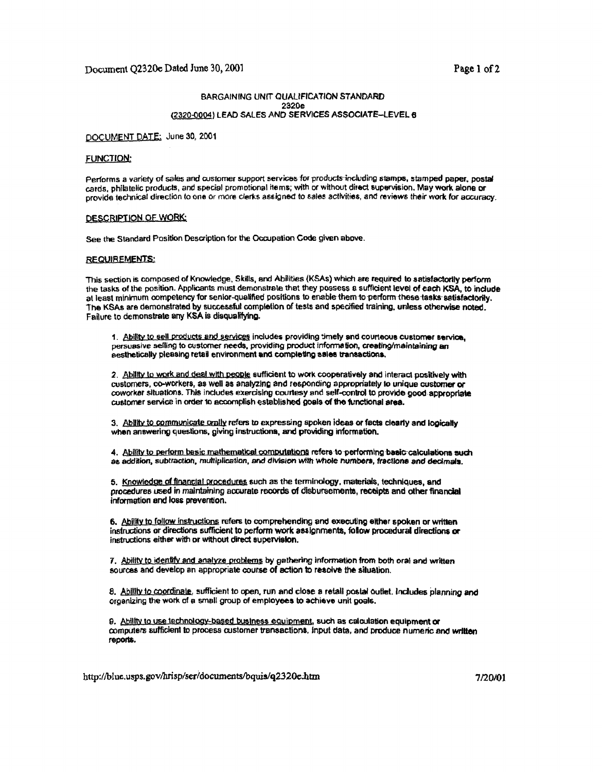### **BARGAINING UNIT QUALIFICATION STANDARD** 2320e (2320-0004) LEAD SALES AND SERVICES ASSOCIATE-LEVEL &

#### DOCUMENT DATE: June 30, 2001

#### **FUNCTION:**

Performs a variety of sales and customer support services for products including stamps, stamped paper, postal cards, philatelic products, and special promotional items; with or without direct supervision. May work alone or provide technical direction to one or more clerks assigned to sales activities, and reviews their work for accuracy.

#### DESCRIPTION OF WORK:

See the Standard Position Description for the Occupation Code given above.

#### **REQUIREMENTS:**

This section is composed of Knowledge, Skills, and Abilities (KSAs) which are required to satisfactorily perform the tasks of the position. Applicants must demonstrate that they possess a sufficient level of each KSA, to include at least minimum competency for senior-qualified positions to enable them to perform these tasks satisfactorily. The KSAs are demonstrated by successful completion of tests and specified training, unless otherwise noted. Failure to demonstrate any KSA is disqualifying.

1. Ability to sell products and services includes providing timely and courteous customer service. persuasive selling to customer needs, providing product information, creating/maintaining an aesthetically pleasing retail environment and completing sales transactions.

2. Ability to work and deal with people sufficient to work cooperatively and interact positively with customers, co-workers, as well as analyzing and responding appropriately to unique customer or coworker situations. This includes exercising courtesy and self-control to provide good appropriate customer service in order to accomplish established goals of the functional area.

3. Ability to communicate orally refers to expressing spoken ideas or facts clearly and logically when answering questions, giving instructions, and providing information.

4. Ability to perform basic mathematical computations refers to performing basic calculations such as addition, subtraction, multiplication, and division with whole numbers, fractions and decimals.

5. Knowledge of financial procedures such as the terminology, materials, techniques, and procedures used in maintaining accurate records of disbursements, receipts and other financial information and loss prevention.

6. Ability to follow instructions refers to comprehending and executing either spoken or written instructions or directions sufficient to perform work assignments, follow procedural directions or instructions either with or without direct supervision.

7. Ability to identify and analyze problems by gathering information from both oral and written sources and develop an appropriate course of action to resolve the situation.

8. Ability to coordinate, sufficient to open, run and close a retail postal outlet, includes planning and organizing the work of a small group of employees to achieve unit goals.

9. Ability to use technology-based business equipment, such as calculation equipment or computers sufficient to process customer transactions, input data, and produce numeric and written reports.

http://blue.usps.gov/hrisp/ser/documents/bquis/q2320e.htm